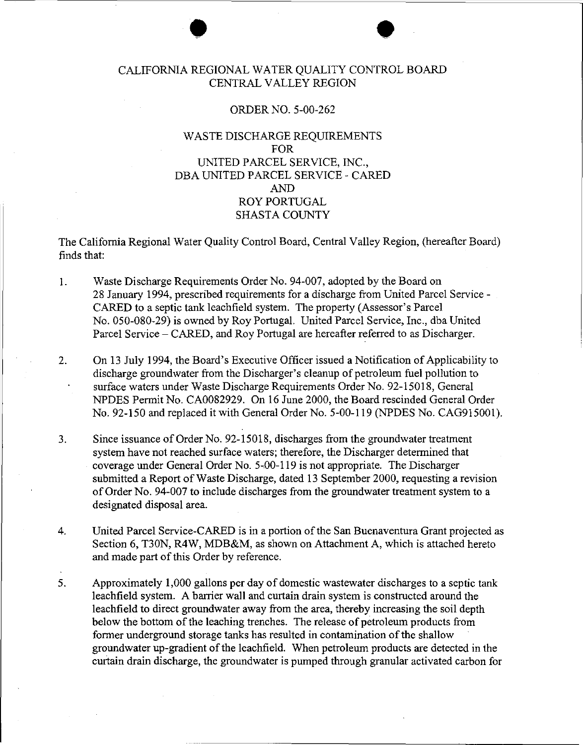### $\bullet$ CALIFORNIA REGIONAL WATER QUALITY CONTROL BOARD CENTRAL VALLEY REGION

#### ORDER NO. 5-00-262

#### WASTE DISCHARGE REQUIREMENTS FOR UNITED PARCEL SERVICE, INC., DBA UNITED PARCEL SERVICE- CARED AND ROY PORTUGAL SHASTA COUNTY

The California Regional Water Quality Control Board, Central Valley Region, (hereafter Board) finds that:

- 1. Waste Discharge Requirements Order No. 94-007, adopted by the Board on 28 January 1994, prescribed requirements for a discharge from United Parcel Service-CARED to a septic tank leachfield system. The property (Assessor's Parcel No. 050-080-29) is owned by Roy Portugal. United Parcel Service, Inc., dba United Parcel Service- CARED, and Roy Portugal are hereafter referred to as Discharger.
- 2. On 13 July 1994, the Board's Executive Officer issued a Notification of Applicability to discharge groundwater from the Discharger's cleanup of petroleum fuel pollution to surface waters under Waste Discharge Requirements Order No. 92-15018, General NPDES Permit No. CA0082929. On 16 June 2000, the Board rescinded General Order No. 92-150 and replaced it with General Order No. 5-00-119 (NPDES No. CAG915001).
- 3. Since issuance of Order No. 92-15018, discharges from the groundwater treatment system have not reached surface waters; therefore, the Discharger determined that coverage under General Order No. 5-00-119 is not appropriate. The Discharger submitted a Report of Waste Discharge, dated 13 September 2000, requesting a revision of Order No. 94-007 to include discharges from the groundwater treatment system to a designated disposal area.
- 4. United Parcel Service-CARED is in a portion of the San Buenaventura Grant projected as Section 6, T30N, R4W, MDB&M, as shown on Attachment A, which is attached hereto and made part of this Order by reference.
- 5. Approximately 1,000 gallons per day of domestic wastewater discharges to a septic tank leachfield system. A barrier wall and curtain drain system is constructed around the leachfield to direct groundwater away from the area, thereby increasing the soil depth below the bottom of the leaching trenches. The release of petroleum products from former underground storage tanks has resulted in contamination of the shallow groundwater up-gradient of the leachfield. When petroleum products are detected in the curtain drain discharge, the groundwater is pumped through granular activated carbon for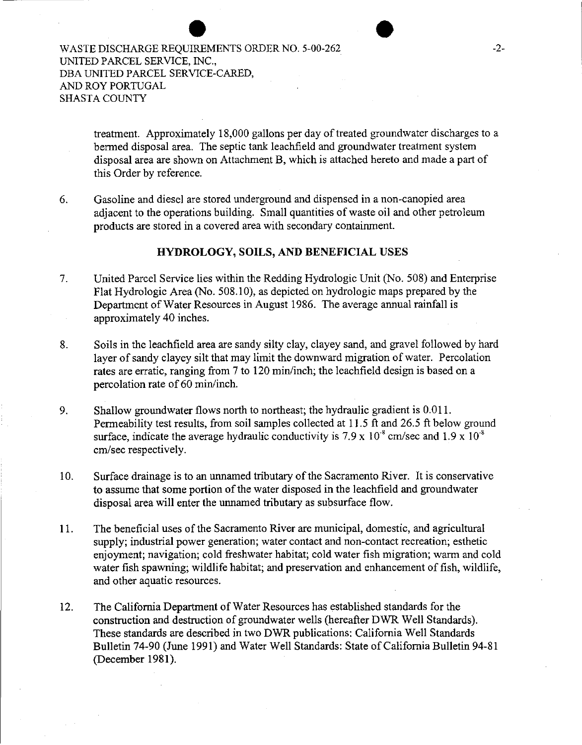treatment. Approximately 18,000 gallons per day of treated groundwater discharges to a bermed disposal area. The septic tank leachfield and groundwater treatment system disposal area are shown on Attachment B, which is attached hereto and made a part of this Order by reference.

6. Gasoline and diesel are stored underground and dispensed in a non-canopied area adjacent to the operations building. Small quantities of waste oil and other petroleum products are stored in a covered area with secondary containment.

#### **HYDROLOGY, SOILS, AND BENEFICIAL USES**

- 7. United Parcel Service lies within the Redding Hydrologic Unit (No. 508) and Enterprise Flat Hydrologic Area (No. 508.10), as depicted on hydrologic maps prepared by the Department of Water Resources in August 1986. The average annual rainfall is approximately 40 inches.
- 8. Soils in the leachfield area are sandy silty clay, clayey sand, and gravel followed by hard layer of sandy clayey silt that may limit the downward migration of water. Percolation rates are erratic, ranging from 7 to 120 min/inch; the leachfield design is based on a percolation rate of 60 min/inch.
- 9. Shallow groundwater flows north to northeast; the hydraulic gradient is 0.011. Permeability test results, from soil samples collected at 11.5 ft and 26.5 ft below ground surface, indicate the average hydraulic conductivity is  $7.9 \times 10^{-8}$  cm/sec and  $1.9 \times 10^{-8}$ em/sec respectively.
- 10. Surface drainage is to an unnamed tributary of the Sacramento River. It is conservative to assume that some portion of the water disposed in the leachfield and groundwater disposal area will enter the unnamed tributary as subsurface flow.
- 11. The beneficial uses of the Sacramento River are municipal, domestic, and agricultural supply; industrial power generation; water contact and non-contact recreation; esthetic enjoyment; navigation; cold freshwater habitat; cold water fish migration; warm and cold water fish spawning; wildlife habitat; and preservation and enhancement of fish, wildlife, and other aquatic resources.
- 12. The California Department of Water Resources has established standards for the construction and destruction of groundwater wells (hereafter DWR Well Standards). These standards are described in two DWR publications: California Well Standards Bulletin 74-90 (June 1991) and Water Well Standards: State of California Bulletin 94-81 (December 198I).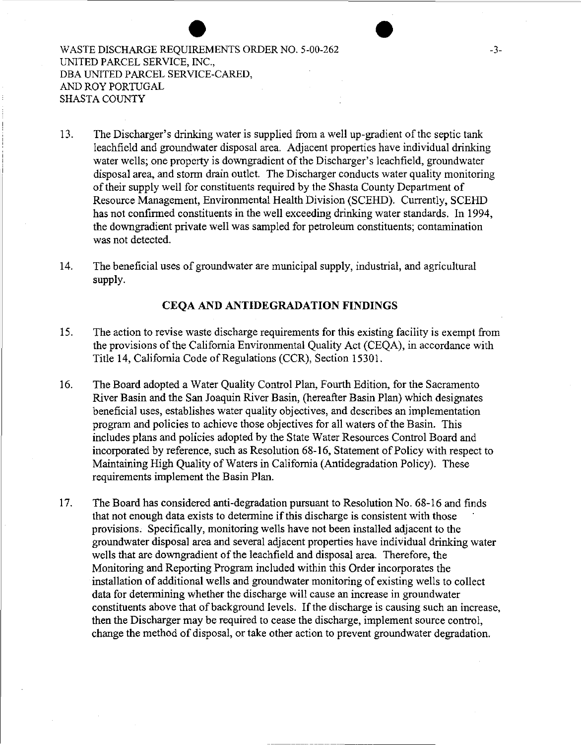13. The Discharger's drinking water is supplied from a well up-gradient of the septic tank leachfield and groundwater disposal area. Adjacent properties have individual drinking water wells; one property is downgradient of the Discharger's leachfield, groundwater disposal area, and storm drain outlet. The Discharger conducts water quality monitoring of their supply well for constituents required by the Shasta County Department of Resource Management, Environmental Health Division (SCEHD). Currently, SCEHD has not confirmed constituents in the well exceeding drinking water standards. In 1994, the downgradient private well was sampled for petroleum constituents; contamination was not detected.

14. The beneficial uses of groundwater are municipal supply, industrial, and agricultural supply.

#### **CEQA AND ANTIDEGRADATION FINDINGS**

- 15. The action to revise waste discharge requirements for this existing facility is exempt from the provisions of the California Environmental Quality Act (CEQA), in accordance with Title 14, California Code of Regulations (CCR), Section 15301.
- 16. The Board adopted a Water Quality Control Plan, Fourth Edition, for the Sacramento River Basin and the San Joaquin River Basin, (hereafter Basin Plan) which designates beneficial uses, establishes water quality objectives, and describes an implementation program and policies to achieve those objectives for all waters of the Basin. This includes plans and policies adopted by the State Water Resources Control Board and incorporated by reference, such as Resolution 68-16, Statement of Policy with respect to Maintaining High Quality of Waters in California (Antidegradation Policy). These requirements implement the Basin Plan.
- 17. The Board has considered anti-degradation pursuant to Resolution No. 68-16 and finds that not enough data exists to determine if this discharge is consistent with those provisions. Specifically, monitoring wells have not been installed adjacent to the groundwater disposal area and several adjacent properties have individual drinking water wells that are downgradient of the leachfield and disposal area. Therefore, the Monitoring and Reporting Program included within this Order incorporates the installation of additional wells and groundwater monitoring of existing wells to collect data for determining whether the discharge will cause an increase in groundwater constituents above that of background levels. If the discharge is causing such an increase, then the Discharger may be required to cease the discharge, implement source control, change the method of disposal, or take other action to prevent groundwater degradation.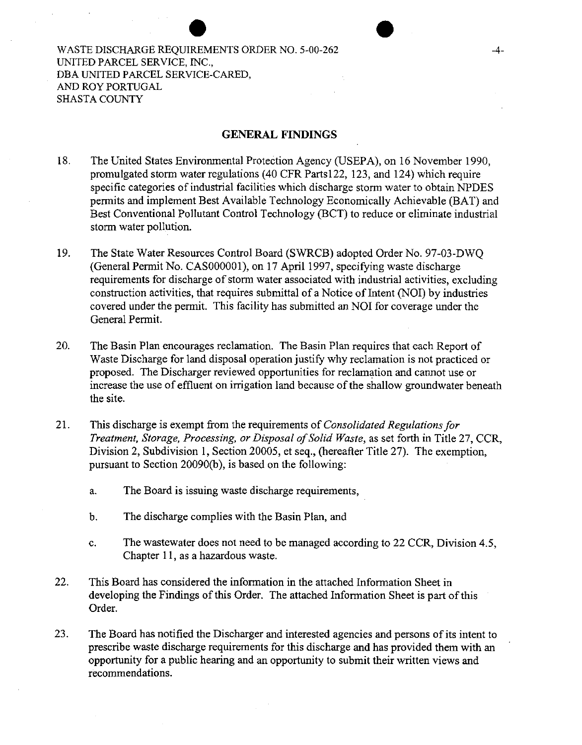#### **GENERAL FINDINGS**

- 18. The United States Environmental Protection Agency (USEPA), on 16 November 1990, promulgated storm water regulations (40 CFR Partsl22, 123, and 124) which require specific categories of industrial facilities which discharge storm water to obtain NPDES permits and implement Best Available Technology Economically Achievable (BAT) and Best Conventional Pollutant Control Technology (BCT) to reduce or eliminate industrial storm water pollution.
- 19. The State Water Resources Control Board (SWRCB) adopted Order No. 97-03-DWQ (General Permit No. CASOOOOOl ), on 17 April 1997, specifying waste discharge requirements for discharge of storm water associated with industrial activities, excluding construction activities, that requires submittal of a Notice of Intent (NOI) by industries covered under the permit. This facility has submitted an NOI for coverage under the General Permit.
- 20. The Basin Plan encourages reclamation. The Basin Plan requires that each Report of Waste Discharge for land disposal operation justify why reclamation is not practiced or proposed. The Discharger reviewed opportunities for reclamation and cannot use or increase the use of effluent on irrigation land because of the shallow groundwater beneath the site.
- 21. This discharge is exempt from the requirements of *Consolidated Regulations for Treatment, Storage, Processing, or Disposal of Solid Waste,* as set forth in Title 27, CCR, Division 2, Subdivision 1, Section 20005, et seq., (hereafter Title 27). The exemption, pursuant to Section 20090(b), is based on the following:
	- a. The Board is issuing waste discharge requirements,
	- b. The discharge complies with the Basin Plan, and
	- c. The wastewater does not need to be managed according to 22 CCR, Division 4.5, Chapter 11, as a hazardous waste.
- 22. This Board has considered the information in the attached Information Sheet in developing the Findings of this Order. The attached Information Sheet is part of this Order.
- 23. The Board has notified the Discharger and interested agencies and persons of its intent to prescribe waste discharge requirements for this discharge and has provided them with an opportunity for a public hearing and an opportunity to submit their written views and recommendations.

 $\bullet$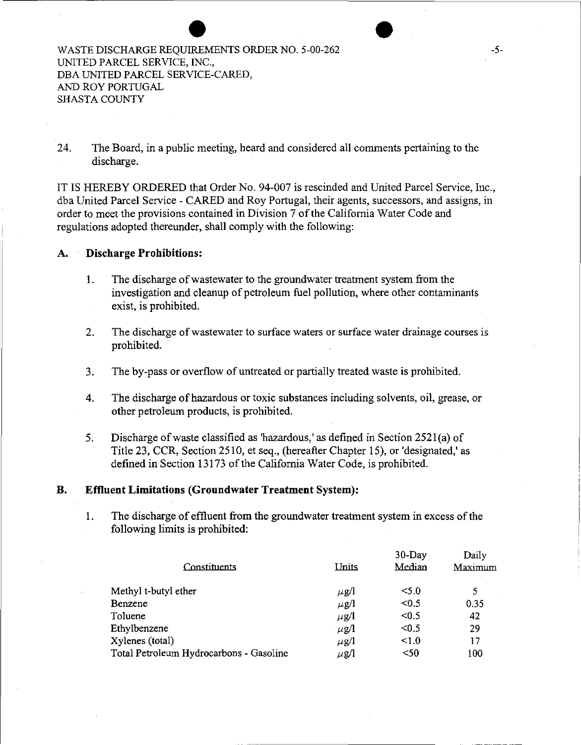24. The Board, in a public meeting, heard and considered all comments pertaining to the discharge.

IT IS HEREBY ORDERED that Order No. 94-007 is rescinded and United Parcel Service, Inc., dba United Parcel Service - CARED and Roy Portugal, their agents, successors, and assigns, in order to meet the provisions contained in Division 7 of the California Water Code and regulations adopted thereunder, shall comply with the following:

#### **A. Discharge Prohibitions:**

- I. The discharge of wastewater to the groundwater treatment system from the investigation and cleanup of petroleum fuel pollution, where other contaminants exist, is prohibited.
- 2. The discharge of wastewater to surface waters or surface water drainage courses is prohibited.
- 3. The by-pass or overflow of untreated or partially treated waste is prohibited.
- 4. The discharge of hazardous or toxic substances including solvents, oil, grease, or other petroleum products, is prohibited.
- 5. Discharge of waste classified as 'hazardous,' as defined in Section 2521(a) of Title 23, CCR, Section 2510, et seq., (hereafter Chapter 15), or 'designated,' as defined in Section 13173 of the California Water Code, is prohibited.

#### **B. Effluent Limitations (Groundwater Treatment System):**

1. The discharge of effluent from the groundwater treatment system in excess of the following limits is prohibited:

| Constituents                            | Units     | 30-Day<br>Median | Daily<br>Maximum |
|-----------------------------------------|-----------|------------------|------------------|
| Methyl t-butyl ether                    | $\mu$ g/l | $<$ 5.0          | 5                |
| Benzene                                 | $\mu$ g/l | < 0.5            | 0.35             |
| Toluene                                 | $\mu$ g/l | < 0.5            | 42               |
| Ethylbenzene                            | $\mu$ g/l | < 0.5            | 29               |
| Xylenes (total)                         | $\mu$ g/l | < 1.0            | 17               |
| Total Petroleum Hydrocarbons - Gasoline | $\mu$ g/l | $50$             | 100              |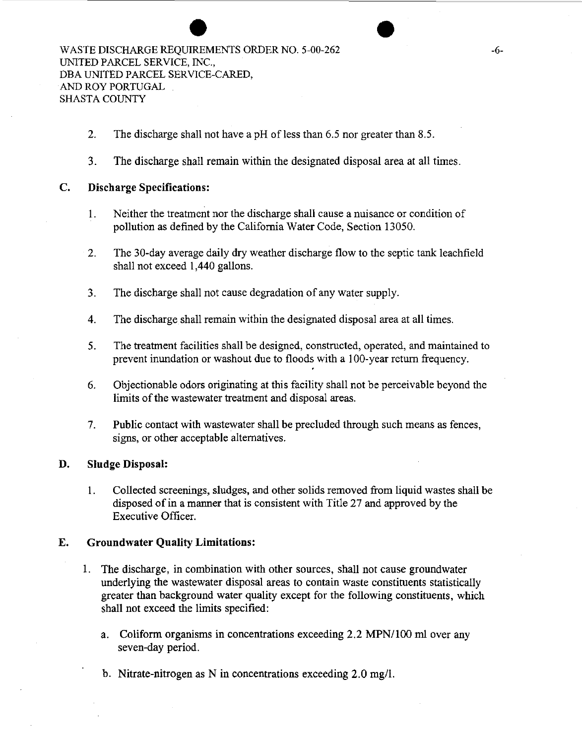- 2. The discharge shall not have a pH of less than  $6.5$  nor greater than  $8.5$ .
- 3. The discharge shall remain within the designated disposal area at all times.

#### C. Discharge Specifications:

- 1. Neither the treatment nor the discharge shall cause a nuisance or condition of pollution as defined by the California Water Code, Section 13050.
- 2. The 30-day average daily dry weather discharge flow to the septic tank leachfield shall not exceed 1 ,440 gallons.
- 3. The discharge shall not cause degradation of any water supply.
- 4. The discharge shall remain within the designated disposal area at all times.
- 5. The treatment facilities shall be designed, constructed, operated, and maintained to prevent inundation or washout due to floods with a 100-year return frequency.
- 6. Objectionable odors originating at this facility shall not be perceivable beyond the limits of the wastewater treatment and disposal areas.
- 7. Public contact with wastewater shall be precluded through such means as fences, signs, or other acceptable alternatives.

#### D. Sludge Disposal:

1. Collected screenings, sludges, and other solids removed from liquid wastes shall be disposed of in a manner that is consistent with Title 27 and approved by the Executive Officer.

#### E. Groundwater Quality Limitations:

- 1. The discharge, in combination with other sources, shall not cause groundwater underlying the wastewater disposal areas to contain waste constituents statistically greater than background water quality except for the following constituents, which shall not exceed the limits specified:
	- a. Coliform organisms in concentrations exceeding 2.2 MPN/100 m1 over any seven-day period.
	- b. Nitrate-nitrogen as N in concentrations exceeding 2.0 mg/1.

•<br>•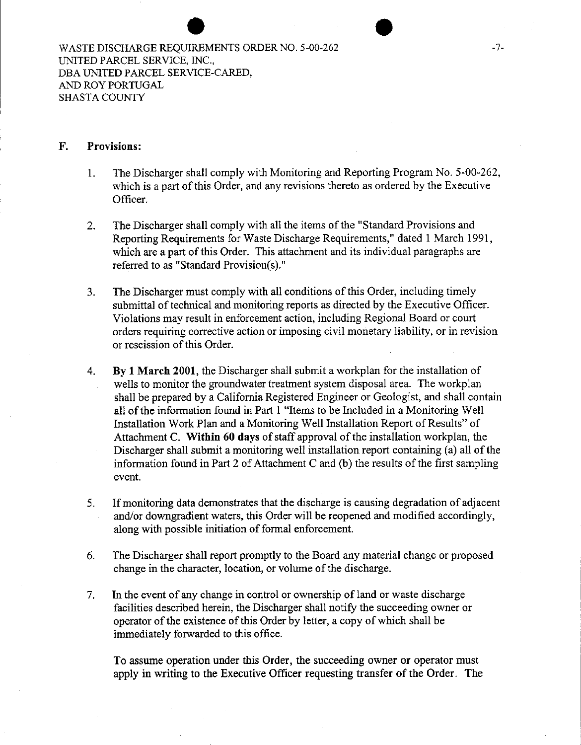#### **F. Provisions:**

- 1. The Discharger shall comply with Monitoring and Reporting Program No. 5-00-262, which is a part of this Order, and any revisions thereto as ordered by the Executive Officer.
- 2. The Discharger shall comply with all the items of the "Standard Provisions and Reporting Requirements for Waste Discharge Requirements," dated 1 March 1991, which are a part of this Order. This attachment and its individual paragraphs are referred to as "Standard Provision(s)."
- 3. The Discharger must comply with all conditions of this Order, including timely submittal of technical and monitoring reports as directed by the Executive Officer. Violations may result in enforcement action, including Regional Board or court orders requiring corrective action or imposing civil monetary liability, or in revision or rescission of this Order.
- 4. **By 1 March 2001,** the Discharger shall submit a workplan for the installation of wells to monitor the groundwater treatment system disposal area. The workplan shall be prepared by a California Registered Engineer or Geologist, and shall contain all of the information found in Part 1 "Items to be Included in a Monitoring Well Installation Work Plan and a Monitoring Well Installation Report of Results" of Attachment C. **Within 60 days** of staff approval of the installation workplan, the Discharger shall submit a monitoring well installation report containing (a) all of the information found in Part 2 of Attachment C and (b) the results of the first sampling event.
- 5. If monitoring data demonstrates that the discharge is causing degradation of adjacent and/or downgradient waters, this Order will be reopened and modified accordingly, along with possible initiation of formal enforcement.
- 6. The Discharger shall report promptly to the Board any material change or proposed change in the character, location, or volume of the discharge.
- 7. In the event of any change in control or ownership of land or waste discharge facilities described herein, the Discharger shall notify the succeeding owner or operator of the existence of this Order by letter, a copy of which shall be immediately forwarded to this office.

To assume operation under this Order, the succeeding owner or operator must apply in writing to the Executive Officer requesting transfer of the Order. The

 $\bullet$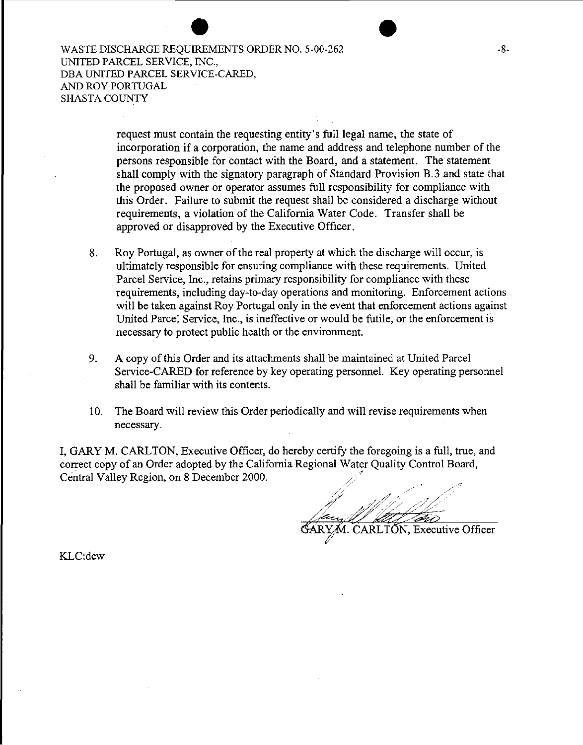> request must contain the requesting entity's full legal name, the state of incorporation if a corporation, the name and address and telephone number of the persons responsible for contact with the Board, and a statement. The statement shall comply with the signatory paragraph of Standard Provision B. 3 and state that the proposed owner or operator assumes full responsibility for compliance with this Order. Failure to submit the request shall be considered a discharge without requirements, a violation of the California Water Code. Transfer shall be approved or disapproved by the Executive Officer.

- 8. Roy Portugal, as owner of the real property at which the discharge will occur, is ultimately responsible for ensuring compliance with these requirements. United Parcel Service, Inc., retains primary responsibility for compliance with these requirements, including day-to-day operations and monitoring. Enforcement actions will be taken against Roy Portugal only in the event that enforcement actions against United Parcel Service, Inc., is ineffective or would be futile, or the enforcement is necessary to protect public health or the environment.
- 9. A copy of this Order and its attachments shall be maintained at United Parcel Service-CARED for reference by key operating personnel. Key operating personnel shall be familiar with its contents.
- 10. The Board will review this Order periodically and will revise requirements when necessary.

I, GARY M. CARLTON, Executive Officer, do hereby certify the foregoing is a full, true, and correct copy of an Order adopted by the California Regional Water Quality Control Board, Central Valley Region, on 8 December 2000.

/ /"

CARLTON, Executive Officer

KLC:dcw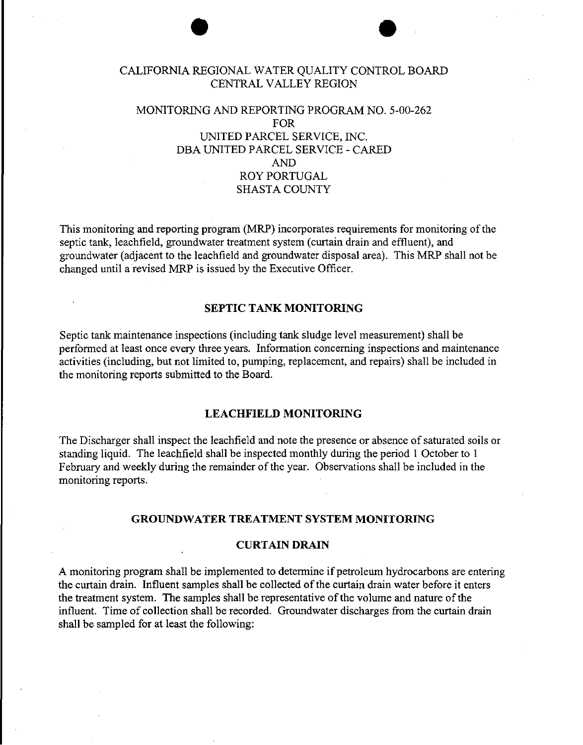#### CALIFORNIA REGIONAL WATER QUALITY CONTROL BOARD CENTRAL VALLEY REGION

 $\bullet$   $\bullet$ 

#### MONITORING AND REPORTING PROGRAM NO. 5-00-262 FOR UNITED PARCEL SERVICE, INC. DBA UNITED PARCEL SERVICE- CARED AND ROY PORTUGAL SHASTA COUNTY

This monitoring and reporting program (MRP) incorporates requirements for monitoring of the septic tank, leachfield, groundwater treatment system (curtain drain and effluent), and groundwater (adjacent to the leachfield and groundwater disposal area). This MRP shall not be changed until a revised MRP is issued by the Executive Officer.

#### **SEPTIC TANK MONITORING**

Septic tank maintenance inspections (including tank sludge level measurement) shall be performed at least once every three years. Information concerning inspections and maintenance activities (including, but not limited to, pumping, replacement, and repairs) shall be included in the monitoring reports submitted to the Board.

#### **LEACHFIELD MONITORING**

The Discharger shall inspect the leachfield and note the presence or absence of saturated soils or standing liquid. The leachfield shall be inspected monthly during the period 1 October to 1 February and weekly during the remainder of the year. Observations shall be included in the monitoring reports.

#### **GROUNDWATER TREATMENT SYSTEM MONITORING**

#### **CURTAIN DRAIN**

A monitoring program shall be implemented to determine if petroleum hydrocarbons are entering the curtain drain. Influent samples shall be collected of the curtain drain water before it enters the treatment system. The samples shall be representative of the volume and nature of the influent. Time of collection shall be recorded. Groundwater discharges from the curtain drain shall be sampled for at least the following: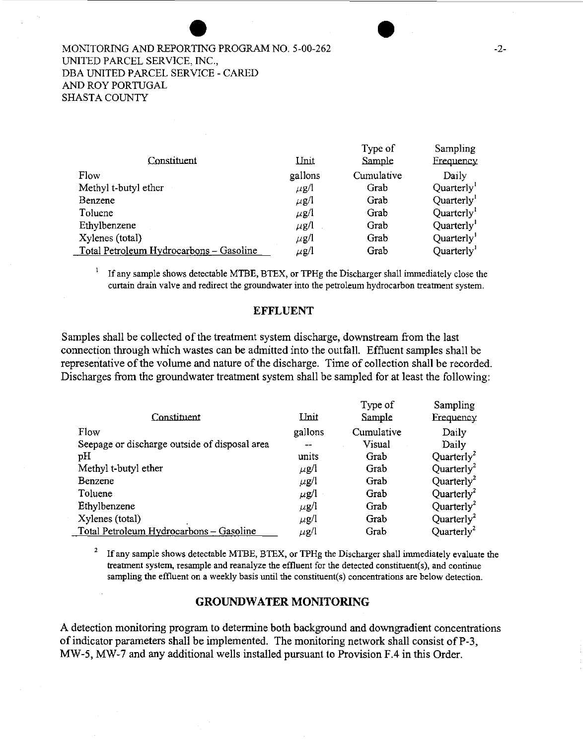#### MONITORING AND REPORTING PROGRAM NO. 5-00-262 UNITED PARCEL SERVICE, INC., DBA UNITED PARCEL SERVICE- CARED AND ROY PORTUGAL SHASTA COUNTY

|                                         |             | Type of    | Sampling               |
|-----------------------------------------|-------------|------------|------------------------|
| Constituent                             | <u>Unit</u> | Sample     | Frequency              |
| Flow                                    | gallons     | Cumulative | Daily                  |
| Methyl t-butyl ether                    | $\mu$ g/l   | Grab       | Quarterly <sup>1</sup> |
| Benzene                                 | $\mu$ g/l   | Grab       | Quarterly <sup>1</sup> |
| Toluene                                 | $\mu$ g/l   | Grab       | Quarterly <sup>1</sup> |
| Ethylbenzene                            | $\mu$ g/l   | Grab       | Quarterly              |
| Xylenes (total)                         | $\mu$ g/l   | Grab       | Quarterly <sup>1</sup> |
| Total Petroleum Hydrocarbons - Gasoline | $\mu$ g/l   | Grab       | Quarterly <sup>1</sup> |

<sup>1</sup>If any sample shows detectable MTBE, BTEX, or TPHg the Discharger shall immediately close the curtain drain valve and redirect the groundwater into the petroleum hydrocarbon treatment system.

#### **EFFLUENT**

Samples shall be collected of the treatment system discharge, downstream from the last connection through which wastes can be admitted into the outfall. Effluent samples shall be representative of the volume and nature of the discharge. Time of collection shall be recorded. Discharges from the groundwater treatment system shall be sampled for at least the following:

|                                               |           | Type of    | Sampling                            |
|-----------------------------------------------|-----------|------------|-------------------------------------|
| Constituent                                   | Unit      | Sample     | <b>Frequency</b>                    |
| Flow                                          | gallons   | Cumulative | Daily                               |
| Seepage or discharge outside of disposal area |           | Visual     | Daily                               |
| pH                                            | units     | Grab       | Quarterly <sup>2</sup>              |
| Methyl t-butyl ether                          | $\mu$ g/l | Grab       | Quarterly <sup>2</sup>              |
| Benzene                                       | $\mu$ g/l | Grab       | Quarterly <sup>2</sup>              |
| Toluene                                       | μg/l      | Grab       | Quarterly <sup>2</sup>              |
| Ethylbenzene                                  | $\mu$ g/l | Grab       | Quarterly <sup>2</sup>              |
| Xylenes (total)                               | $\mu$ g/l | Grab       | Quarterly <sup>2</sup>              |
| Total Petroleum Hydrocarbons - Gasoline       | $\mu$ g/l | Grab       | Quarter <sub>l</sub> y <sup>2</sup> |

2 If any sample shows detectable MTBE, BTEX, or TPHg the Discharger shall immediately evaluate the treatment system, resample and reanalyze the effluent for the detected constituent(s), and continue sampling the effluent on a weekly basis until the constituent(s) concentrations are below detection.

#### **GROUNDWATER MONITORING**

A detection monitoring program to determine both background and downgradient concentrations of indicator parameters shall be implemented. The monitoring network shall consist ofP-3, MW-5, MW-7 and any additional wells installed pursuant to Provision F.4 in this Order.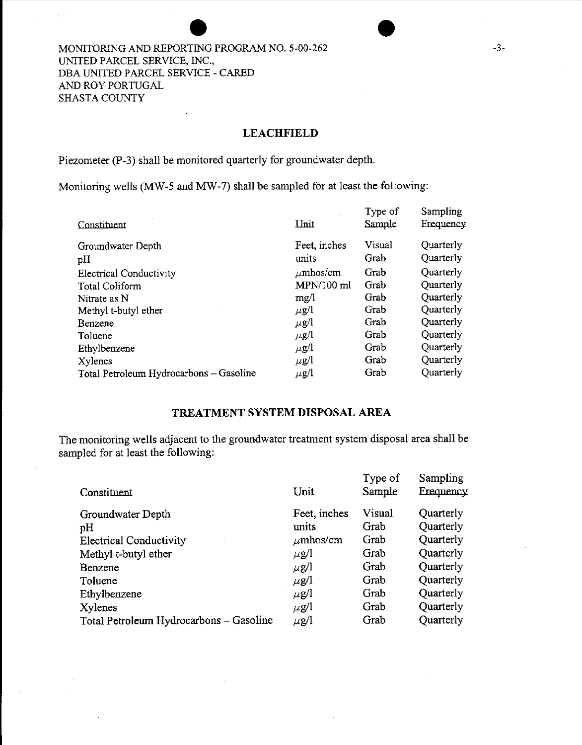#### MONITORING AND REPORTING PROGRAM NO. 5-00-262 UNITED PARCEL SERVICE, INC., DBA UNITED PARCEL SERVICE- CARED AND ROY PORTUGAL SHASTA COUNTY

#### **LEACHFIELD**

Piezometer (P-3) shall be monitored quarterly for groundwater depth.

Monitoring wells (MW-5 and MW-7) shall be sampled for at least the following:

| Unit          | Type of<br>Sample | Sampling<br><b>Frequency</b> |
|---------------|-------------------|------------------------------|
| Feet, inches  | Visual            | Quarterly                    |
| units         | Grab              | Quarterly                    |
| $\mu$ mhos/cm | Grab              | Quarterly                    |
| MPN/100 ml    | Grab              | Quarterly                    |
| mg/l          | Grab              | Quarterly                    |
| $\mu$ g/l     | Grab              | Quarterly                    |
| $\mu$ g/l     | Grab              | Quarterly                    |
| $\mu$ g/l     | Grab              | Quarterly                    |
| $\mu$ g/l     | Grab              | Quarterly                    |
| $\mu$ g/l     | Grab              | Quarterly                    |
| $\mu$ g/l     | Grab              | Quarterly                    |
|               |                   |                              |

#### **TREATMENT SYSTEM DISPOSAL AREA**

The monitoring wells adjacent to the groundwater treatment system disposal area shall be sampled for at least the following:

| Unit          | Type of<br>Sample | Sampling<br>Frequency |
|---------------|-------------------|-----------------------|
| Feet, inches  | Visual            | Quarterly             |
| units         | Grab              | Quarterly             |
| $\mu$ mhos/cm | Grab              | Quarterly             |
| $\mu$ g/l     | Grab              | Quarterly             |
| $\mu$ g/l     | Grab              | Quarterly             |
| $\mu$ g/l     | Grab              | Quarterly             |
| $\mu$ g/l     | Grab              | Quarterly             |
| $\mu$ g/l     | Grab              | Quarterly             |
| $\mu$ g/l     | Grab              | Quarterly             |
|               |                   |                       |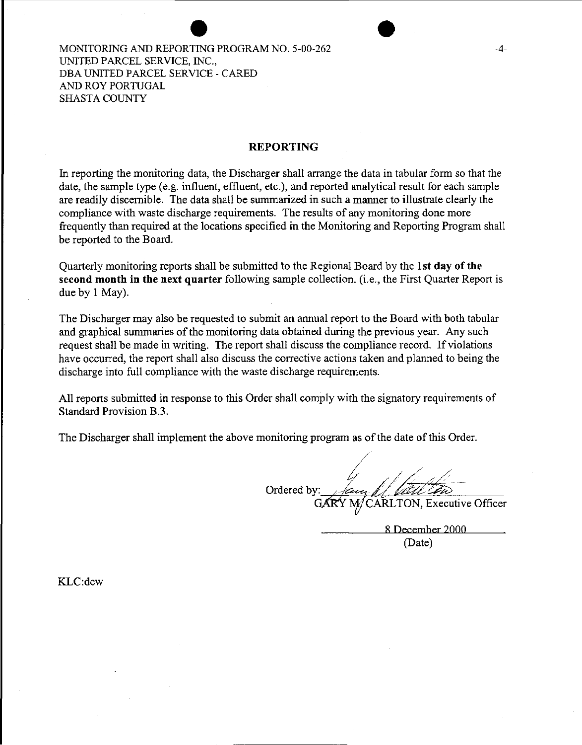#### MONITORING AND REPORTING PROGRAM NO. 5-00-262 UNITED PARCEL SERVICE, INC., DBA UNITED PARCEL SERVICE- CARED AND ROY PORTUGAL SHASTA COUNTY

#### **REPORTING**

In reporting the monitoring data, the Discharger shall arrange the data in tabular form so that the date, the sample type (e.g. influent, effluent, etc.), and reported analytical result for each sample are readily discernible. The data shall be summarized in such a manner to illustrate clearly the compliance with waste discharge requirements. The results of any monitoring done more frequently than required at the locations specified in the Monitoring and Reporting Program shall be reported to the Board.

Quarterly monitoring reports shall be submitted to the Regional Board by the **1st day ofthe**  second month in the next quarter following sample collection. (i.e., the First Quarter Report is due by 1 May).

The Discharger may also be requested to submit an annual report to the Board with both tabular and graphical summaries of the monitoring data obtained during the previous year. Any such request shall be made in writing. The report shall discuss the compliance record. If violations have occurred, the report shall also discuss the corrective actions taken and planned to being the discharge into full compliance with the waste discharge requirements.

All reports submitted in response to this Order shall comply with the signatory requirements of Standard Provision B.3.

The Discharger shall implement the above monitoring program as of the date of this Order.

Ordered by: CARLTON, Executive Officer

8 December 2000

(Date)

KLC:dcw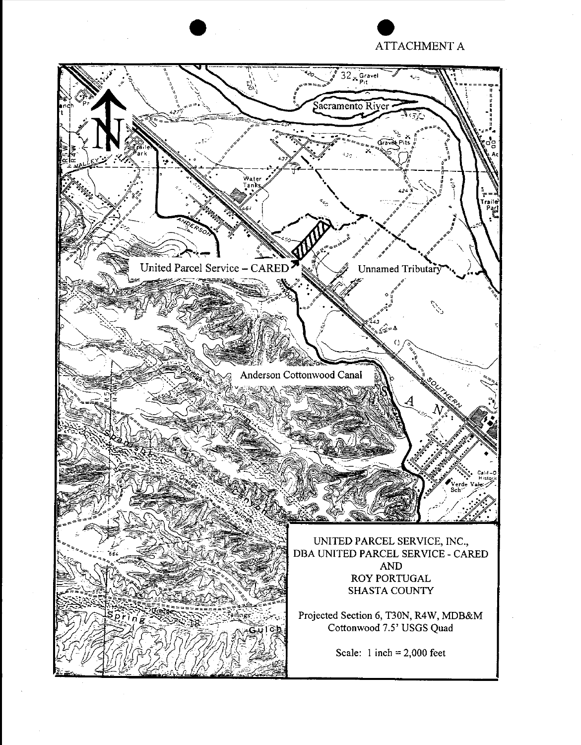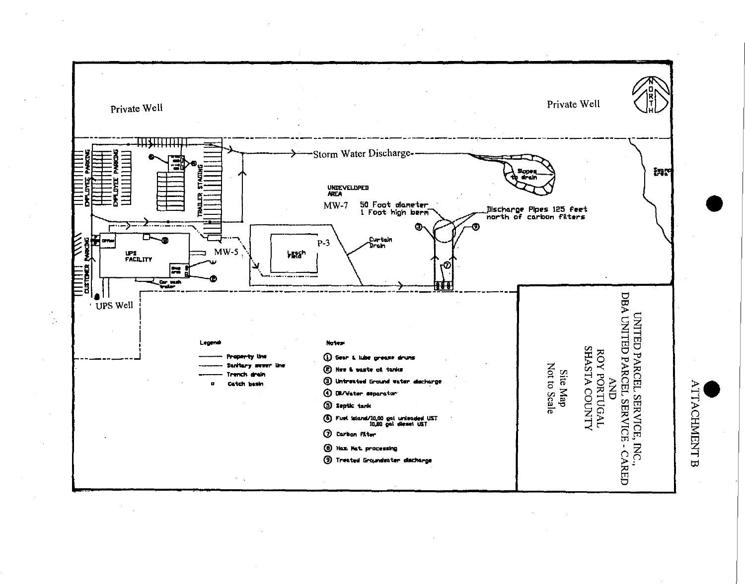

 $\Xi^-$ 

 $V_{\rm IAC}$ 

コ  $\boldsymbol{\varpi}$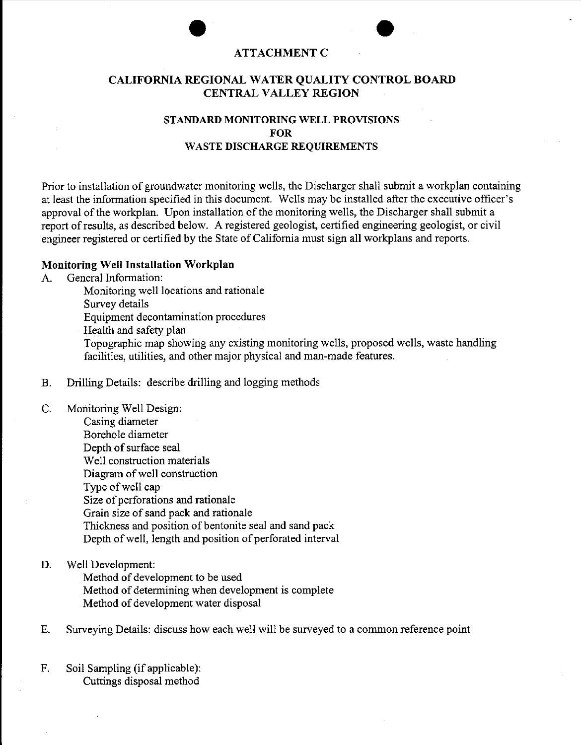# external and a set of the set of the set of the set of the set of the set of the set of the set of the set of the set of the set of the set of the set of the set of the set of the set of the set of the set of the set of th

#### **CALIFORNIA REGIONAL WATER QUALITY CONTROL BOARD CENTRAL VALLEY REGION**

#### **STANDARD MONITORING WELL PROVISIONS FOR WASTE DISCHARGE REQUIREMENTS**

Prior to installation of groundwater monitoring wells, the Discharger shall submit a workplan containing at least the information specified in this document. Wells may be installed after the executive officer's approval of the workplan. Upon installation of the monitoring wells, the Discharger shall submit a report of results, as described below. A registered geologist, certified engineering geologist, or civil engineer registered or certified by the State of California must sign all workplans and reports.

#### **Monitoring Well Installation Workplan**

A. General Information:

Monitoring well locations and rationale Survey details Equipment decontamination procedures Health and safety plan Topographic map showing any existing monitoring wells, proposed wells, waste handling facilities, utilities, and other major physical and man-made features.

- B. Drilling Details: describe drilling and logging methods
- C. Monitoring Well Design:

Casing diameter Borehole diameter Depth of surface seal Well construction materials Diagram of well construction Type of well cap Size of perforations and rationale Grain size of sand pack and rationale Thickness and position of bentonite seal and sand pack Depth of well, length and position of perforated interval

D. Well Development:

Method of development to be used Method of determining when development is complete Method of development water disposal

- E. Surveying Details: discuss how each well will be surveyed to a common reference point
- F. Soil Sampling (if applicable): Cuttings disposal method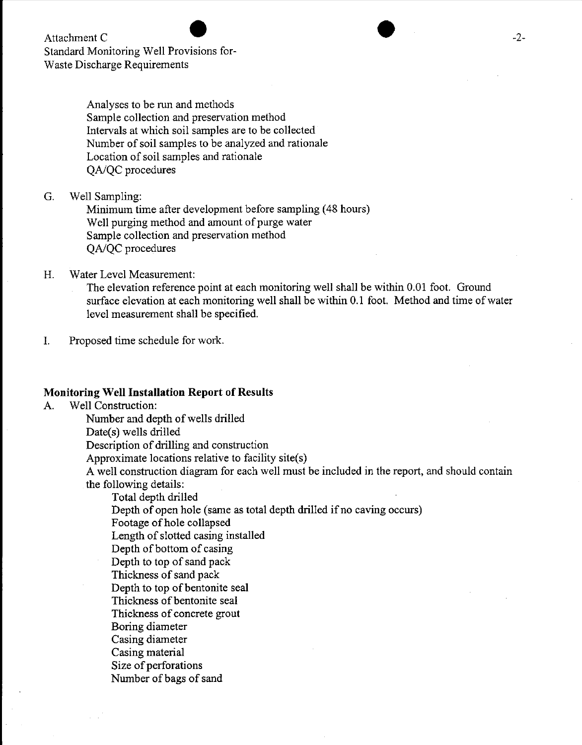Attachment C Standard Monitoring Well Provisions for-Waste Discharge Requirements

> Analyses to be run and methods Sample collection and preservation method Intervals at which soil samples are to be collected Number of soil samples to be analyzed and rationale Location of soil samples and rationale *QAIQC* procedures

G. Well Sampling:

Minimum time after development before sampling (48 hours) Well purging method and amount of purge water Sample collection and preservation method *QAJQC* procedures

#### H. Water Level Measurement:

The elevation reference point at each monitoring well shall be within 0.01 foot. Ground surface elevation at each monitoring well shall be within 0.1 foot. Method and time of water level measurement shall be specified.

I. Proposed time schedule for work.

#### **Monitoring Well Installation Report of Results**

A. Well Construction:

Number and depth of wells drilled

Date(s) wells drilled

Description of drilling and construction

Approximate locations relative to facility site(s)

A well construction diagram for each well must be included in the report, and should contain the following details:

Total depth drilled

Depth of open hole (same as total depth drilled if no caving occurs)

Footage of hole collapsed

Length of slotted casing installed

Depth of bottom of casing

Depth to top of sand pack

Thickness of sand pack

Depth to top of bentonite seal

Thickness of bentonite seal

Thickness of concrete grout

Boring diameter

Casing diameter

Casing material

Size of perforations

Number of bags of sand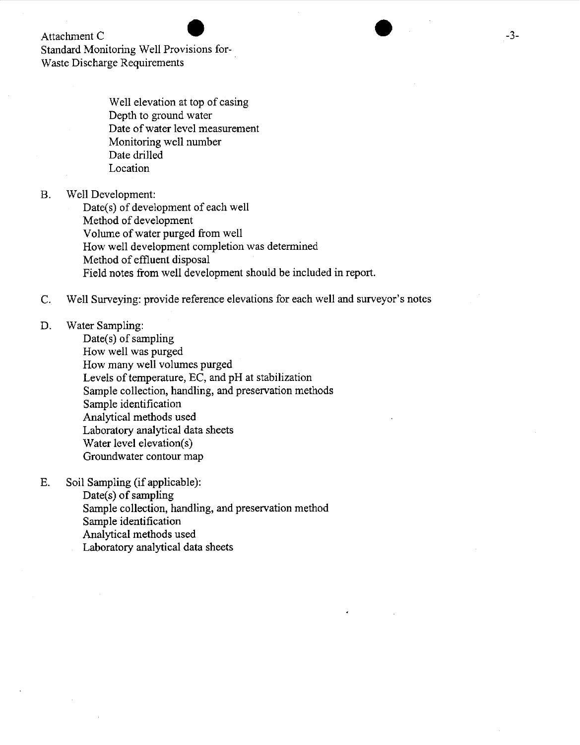#### Attachment C

Standard Monitoring Well Provisions for-Waste Discharge Requirements

> Well elevation at top of casing Depth to ground water Date of water level measurement Monitoring well number Date drilled Location

#### B. Well Development:

Date(s) of development of each well Method of development Volume of water purged from well How well development completion was determined Method of effluent disposal Field notes from well development should be included in report.

#### C. Well Surveying: provide reference elevations for each well and surveyor's notes

#### D. Water Sampling:

Date( $s$ ) of sampling How well was purged How many well volumes purged Levels of temperature, EC, and pH at stabilization Sample collection, handling, and preservation methods Sample identification Analytical methods used Laboratory analytical data sheets Water level elevation(s) Groundwater contour map

#### E. Soil Sampling (if applicable):

Date(s) of sampling Sample collection, handling, and preservation method Sample identification Analytical methods used Laboratory analytical data sheets

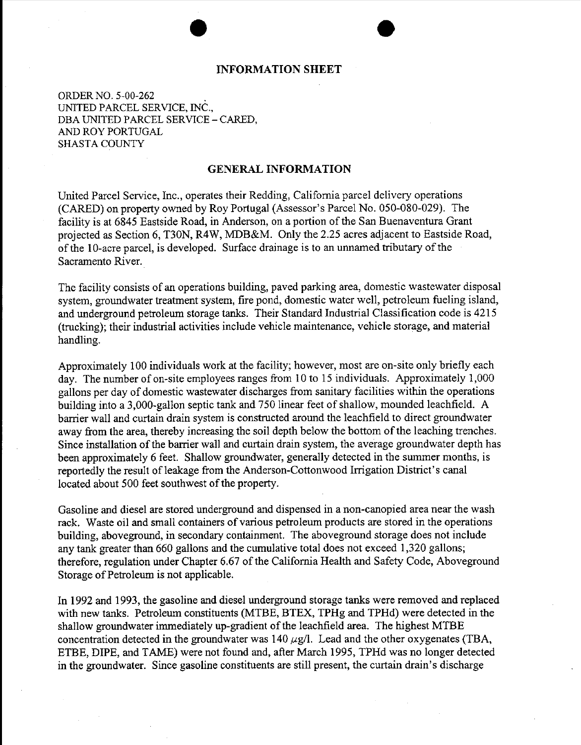## • **INFORMATION SHEET**

•

ORDER NO. 5-00-262 . UNITED PARCEL SERVICE, INC., DBA UNITED PARCEL SERVICE- CARED, AND ROY PORTUGAL SHASTA COUNTY

#### **GENERAL INFORMATION**

United Parcel Service, Inc., operates their Redding, California parcel delivery operations (CARED) on property owned by Roy Portugal (Assessor's Parcel No. 050-080-029). The facility is at 6845 Eastside Road, in Anderson, on a portion of the San Buenaventura Grant projected as Section 6, T30N, R4W, MDB&M. Only the 2.25 acres adjacent to Eastside Road, of the 10-acre parcel, is developed. Surface drainage is to an unnamed tributary of the Sacramento River.

The facility consists of an operations building, paved parking area, domestic wastewater disposal system, groundwater treatment system, fire pond, domestic water well, petroleum fueling island, and underground petroleum storage tanks. Their Standard Industrial Classification code is 4215 (trucking); their industrial activities include vehicle maintenance, vehicle storage, and material handling.

Approximately 100 individuals work at the facility; however, most are on-site only briefly each day. The number of on-site employees ranges from 10 to 15 individuals. Approximately 1,000 gallons per day of domestic wastewater discharges from sanitary facilities within the operations building into a 3,000-gallon septic tank and 750 linear feet of shallow, mounded leachfield. A barrier wall and curtain drain system is constructed around the leachfield to direct groundwater away from the area, thereby increasing the soil depth below the bottom of the leaching trenches. Since installation of the barrier wall and curtain drain system, the average groundwater depth has been approximately 6 feet. Shallow groundwater, generally detected in the summer months, is reportedly the result of leakage from the Anderson-Cottonwood Irrigation District's canal located about 500 feet southwest of the property.

Gasoline and diesel are stored underground and dispensed in a non-canopied area near the wash rack. Waste oil and small containers of various petroleum products are stored in the operations building, aboveground, in secondary containment. The aboveground storage does not include any tank greater than 660 gallons and the cumulative total does not exceed 1,320 gallons; therefore, regulation under Chapter 6.67 of the California Health and Safety Code, Aboveground Storage of Petroleum is not applicable.

In 1992 and 1993, the gasoline and diesel underground storage tanks were removed and replaced with new tanks. Petroleum constituents (MTBE, BTEX, TPHg and TPHd) were detected in the shallow groundwater immediately up-gradient of the leachfield area. The highest MTBE concentration detected in the groundwater was  $140 \mu g/l$ . Lead and the other oxygenates (TBA, ETBE, DIPE, and TAME) were not found and, after March 1995, TPHd was no longer detected in the groundwater. Since gasoline constituents are still present, the curtain drain's discharge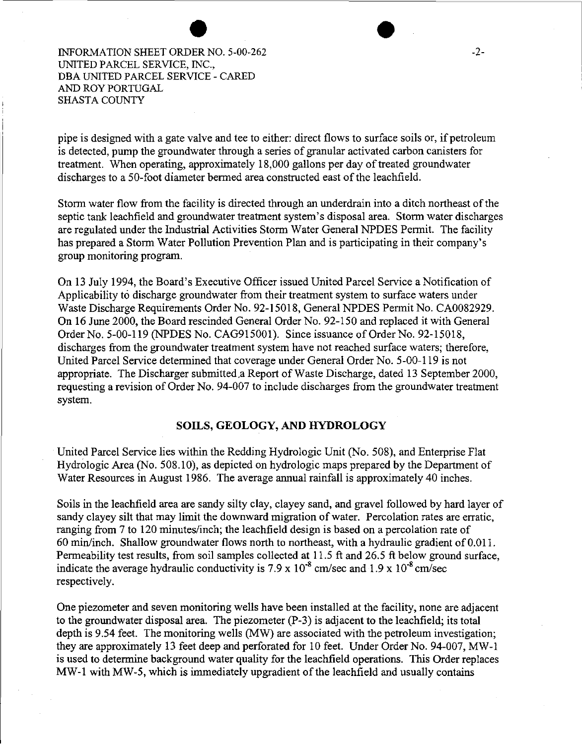INFORMATION SHEET ORDER NO. 5-00-262 UNITED PARCEL SERVICE, INC., DBA UNITED PARCEL SERVICE- CARED AND ROY PORTUGAL SHASTA COUNTY

pipe is designed with a gate valve and tee to either: direct flows to surface soils or, if petroleum is detected, pump the groundwater through a series of granular activated carbon canisters for treatment. When operating, approximately 18,000 gallons per day of treated groundwater discharges to a 50-foot diameter bermed area constructed east of the leachfield.

Storm water flow from the facility is directed through an underdrain into a ditch northeast of the septic tank leachfield and groundwater treatment system's disposal area. Storm water discharges are regulated under the Industrial Activities Storm Water General NPDES Permit. The facility has prepared a Storm Water Pollution Prevention Plan and is participating in their company's group monitoring program.

On 13 July 1994, the Board's Executive Officer issued United Parcel Service a Notification of Applicability to discharge groundwater from their treatment system to surface waters under Waste Discharge Requirements Order No. 92-15018, General NPDES Permit No. CA0082929. On 16 June 2000, the Board rescinded General Order No. 92-150 and replaced it with General Order No. 5-00-119 (NPDES No. CAG915001). Since issuance of Order No. 92-15018, discharges from the groundwater treatment system have not reached surface waters; therefore, United Parcel Service determined that coverage under General Order No. 5-00-119 is not appropriate. The Discharger submitted.a Report of Waste Discharge, dated 13 September 2000, requesting a revision of Order No. 94-007 to include discharges from the groundwater treatment system.

#### **SOILS, GEOLOGY, AND HYDROLOGY**

United Parcel Service lies within the Redding Hydrologic Unit (No. 508), and Enterprise Flat Hydrologic Area (No. 508.10), as depicted on hydrologic maps prepared by the Department of Water Resources in August 1986. The average annual rainfall is approximately 40 inches.

Soils in the leachfield area are sandy silty clay, clayey sand, and gravel followed by hard layer of sandy clayey silt that may limit the downward migration of water. Percolation rates are erratic, ranging from 7 to 120 minutes/inch; the leachfield design is based on a percolation rate of 60 min/inch. Shallow groundwater flows north to northeast, with a hydraulic gradient of 0.011. Permeability test results, from soil samples collected at 11.5 ft and 26.5 ft below ground surface, indicate the average hydraulic conductivity is 7.9 x  $10^{-8}$  cm/sec and 1.9 x  $10^{-8}$  cm/sec respectively.

One piezometer and seven monitoring wells have been installed at the facility, none are adjacent to the groundwater disposal area. The piezometer (P-3) is adjacent to the leachfield; its total depth is 9.54 feet. The monitoring wells (MW) are associated with the petroleum investigation; they are approximately 13 feet deep and perforated for 10 feet. Under Order No. 94-007, MW-1 is used to determine background water quality for the leachfield operations. This Order replaces MW-1 with MW-5, which is immediately upgradient of the leachfield and usually contains

 $\bullet$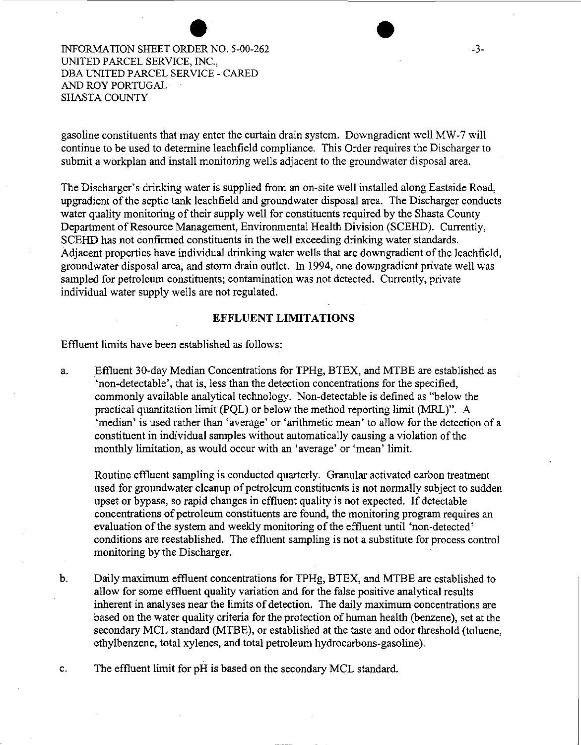INFORMATION SHEET ORDER NO. 5-00-262 UNITED PARCEL SERVICE, INC., DBA UNITED PARCEL SERVICE- CARED AND ROY PORTUGAL SHASTA COUNTY

gasoline constituents that may enter the curtain drain system. Downgradient well MW -7 will continue to be used to determine leachfield compliance. This Order requires the Discharger to submit a workplan and install monitoring wells adjacent to the groundwater disposal area.

The Discharger's drinking water is supplied from an on-site well installed along Eastside Road, upgradient of the septic tank leachfield and groundwater disposal area. The Discharger conducts water quality monitoring of their supply well for constituents required by the Shasta County Department of Resource Management, Environmental Health Division (SCEHD). Currently, SCEHD has not confirmed constituents in the well exceeding drinking water standards. Adjacent properties have individual drinking water wells that are downgradient of the leachfield, groundwater disposal area, and storm drain outlet. In 1994, one downgradient private well was sampled for petroleum constituents; contamination was not detected. Currently, private individual water supply wells are not regulated.

#### **EFFLUENT LIMITATIONS**

Effluent limits have been established as follows:

a. Effluent 30-day Median Concentrations for TPHg, BTEX, and MTBE are established as 'non-detectable', that is, less than the detection concentrations for the specified, commonly available analytical technology. Non-detectable is defined as "below the practical quantitation limit (PQL) or below the method reporting limit (MRL)". A 'median' is used rather than 'average' or 'arithmetic mean' to allow for the detection of a constituent in individual samples without automatically causing a violation of the monthly limitation, as would occur with an 'average' or 'mean' limit.

Routine effluent sampling is conducted quarterly. Granular activated carbon treatment used for groundwater cleanup of petroleum constituents is not normally subject to sudden upset or bypass, so rapid changes in effluent quality is not expected. If detectable concentrations of petroleum constituents are found, the monitoring program requires an evaluation of the system and weekly monitoring of the effluent until 'non-detected' conditions are reestablished. The effluent sampling is not a substitute for process control monitoring by the Discharger.

b. Daily maximum effluent concentrations for TPHg, BTEX, and MTBE are established to allow for some effluent quality variation and for the false positive analytical results inherent in analyses near the limits of detection. The daily maximum concentrations are based on the water quality criteria for the protection of human health (benzene), set at the secondary MCL standard (MTBE), or established at the taste and odor threshold (toluene, ethylbenzene, total xylenes, and total petroleum hydrocarbons-gasoline).

c. The effluent limit for pH is based on the secondary MCL standard.

 $\begin{array}{|c|c|}\n\hline\n\text{...} & \text{...} \\
\hline\n\text{...} & \text{...} \\
\hline\n\text{...} & \text{...} \\
\hline\n\end{array}$